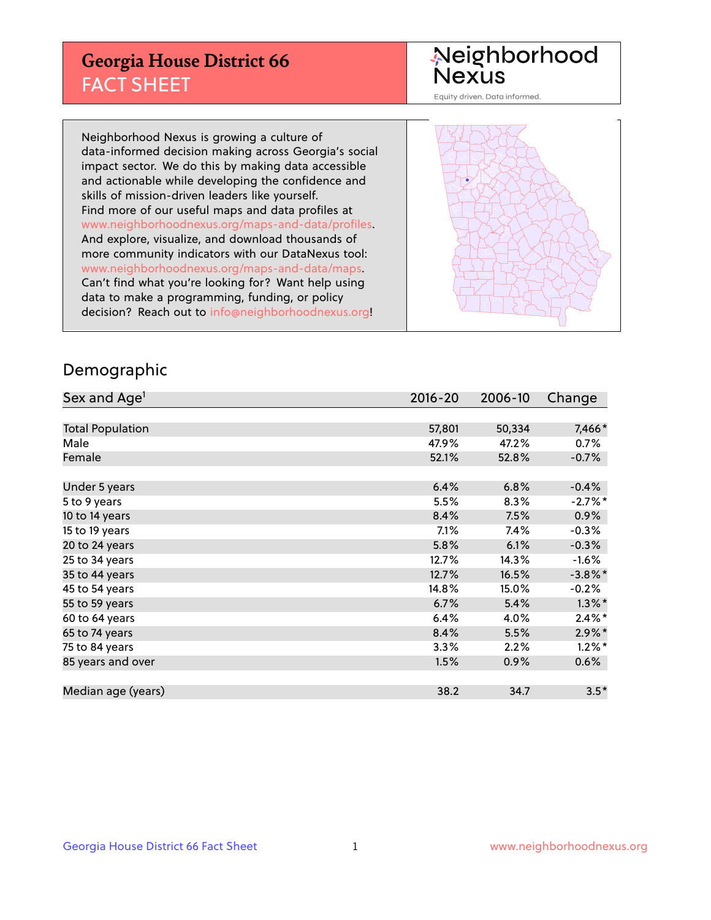## **Georgia House District 66** FACT SHEET

# Neighborhood<br>Nexus

Equity driven. Data informed.

Neighborhood Nexus is growing a culture of data-informed decision making across Georgia's social impact sector. We do this by making data accessible and actionable while developing the confidence and skills of mission-driven leaders like yourself. Find more of our useful maps and data profiles at www.neighborhoodnexus.org/maps-and-data/profiles. And explore, visualize, and download thousands of more community indicators with our DataNexus tool: www.neighborhoodnexus.org/maps-and-data/maps. Can't find what you're looking for? Want help using data to make a programming, funding, or policy decision? Reach out to [info@neighborhoodnexus.org!](mailto:info@neighborhoodnexus.org)



### Demographic

| Sex and Age <sup>1</sup> | $2016 - 20$ | 2006-10 | Change     |
|--------------------------|-------------|---------|------------|
|                          |             |         |            |
| <b>Total Population</b>  | 57,801      | 50,334  | 7,466*     |
| Male                     | 47.9%       | 47.2%   | 0.7%       |
| Female                   | 52.1%       | 52.8%   | $-0.7%$    |
|                          |             |         |            |
| Under 5 years            | 6.4%        | 6.8%    | $-0.4%$    |
| 5 to 9 years             | 5.5%        | 8.3%    | $-2.7%$ *  |
| 10 to 14 years           | 8.4%        | 7.5%    | 0.9%       |
| 15 to 19 years           | 7.1%        | 7.4%    | $-0.3%$    |
| 20 to 24 years           | 5.8%        | 6.1%    | $-0.3%$    |
| 25 to 34 years           | 12.7%       | 14.3%   | $-1.6\%$   |
| 35 to 44 years           | 12.7%       | 16.5%   | $-3.8\%$ * |
| 45 to 54 years           | 14.8%       | 15.0%   | $-0.2%$    |
| 55 to 59 years           | 6.7%        | 5.4%    | $1.3\%$ *  |
| 60 to 64 years           | 6.4%        | 4.0%    | $2.4\%$ *  |
| 65 to 74 years           | 8.4%        | 5.5%    | $2.9\%$ *  |
| 75 to 84 years           | 3.3%        | 2.2%    | $1.2\%$ *  |
| 85 years and over        | 1.5%        | 0.9%    | 0.6%       |
|                          |             |         |            |
| Median age (years)       | 38.2        | 34.7    | $3.5*$     |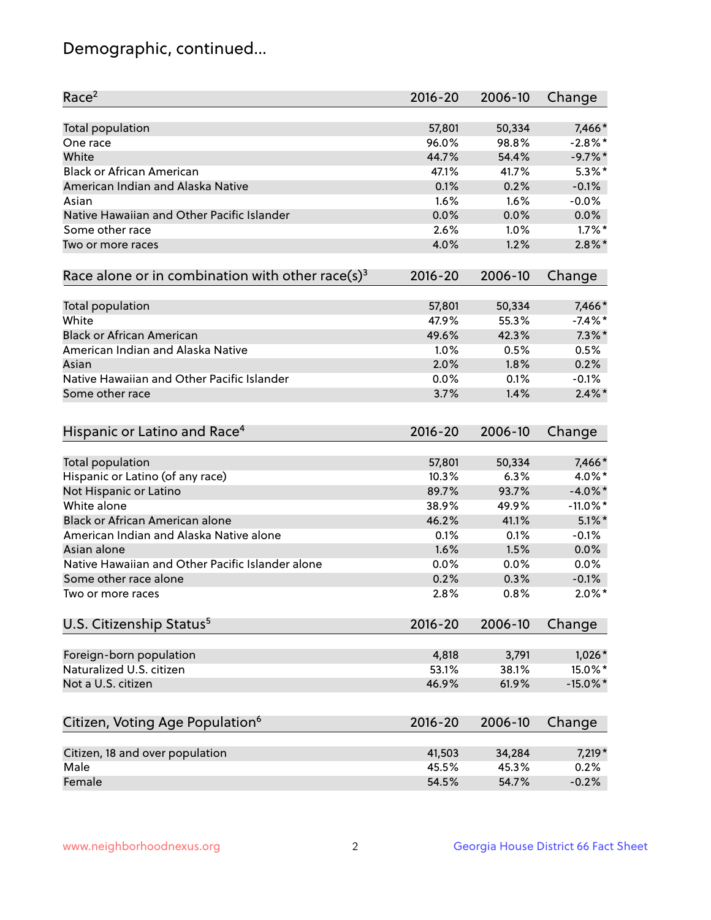## Demographic, continued...

| Race <sup>2</sup>                                            | $2016 - 20$ | 2006-10 | Change      |
|--------------------------------------------------------------|-------------|---------|-------------|
| <b>Total population</b>                                      | 57,801      | 50,334  | 7,466*      |
| One race                                                     | 96.0%       | 98.8%   | $-2.8\%$ *  |
| White                                                        | 44.7%       | 54.4%   | $-9.7%$ *   |
| <b>Black or African American</b>                             | 47.1%       | 41.7%   | $5.3\%$ *   |
| American Indian and Alaska Native                            | 0.1%        | 0.2%    | $-0.1%$     |
| Asian                                                        | 1.6%        | 1.6%    | $-0.0%$     |
| Native Hawaiian and Other Pacific Islander                   | 0.0%        | 0.0%    | 0.0%        |
| Some other race                                              | 2.6%        | 1.0%    | $1.7\%$ *   |
| Two or more races                                            | 4.0%        | 1.2%    | $2.8\%$ *   |
| Race alone or in combination with other race(s) <sup>3</sup> | $2016 - 20$ | 2006-10 | Change      |
| Total population                                             | 57,801      | 50,334  | 7,466*      |
| White                                                        | 47.9%       | 55.3%   | $-7.4\%$ *  |
| <b>Black or African American</b>                             | 49.6%       | 42.3%   | $7.3\%$ *   |
| American Indian and Alaska Native                            | 1.0%        | 0.5%    | 0.5%        |
| Asian                                                        | 2.0%        | 1.8%    | 0.2%        |
| Native Hawaiian and Other Pacific Islander                   | 0.0%        | 0.1%    | $-0.1%$     |
| Some other race                                              | 3.7%        | 1.4%    | $2.4\%$ *   |
|                                                              |             |         |             |
| Hispanic or Latino and Race <sup>4</sup>                     | $2016 - 20$ | 2006-10 | Change      |
| <b>Total population</b>                                      | 57,801      | 50,334  | 7,466*      |
| Hispanic or Latino (of any race)                             | 10.3%       | 6.3%    | 4.0%*       |
| Not Hispanic or Latino                                       | 89.7%       | 93.7%   | $-4.0\%$ *  |
| White alone                                                  | 38.9%       | 49.9%   | $-11.0\%$ * |
| Black or African American alone                              | 46.2%       | 41.1%   | $5.1\%$ *   |
| American Indian and Alaska Native alone                      | 0.1%        | 0.1%    | $-0.1%$     |
| Asian alone                                                  | 1.6%        | 1.5%    | 0.0%        |
| Native Hawaiian and Other Pacific Islander alone             | 0.0%        | 0.0%    | 0.0%        |
| Some other race alone                                        | 0.2%        | 0.3%    | $-0.1%$     |
| Two or more races                                            | 2.8%        | 0.8%    | $2.0\%$ *   |
| U.S. Citizenship Status <sup>5</sup>                         | $2016 - 20$ | 2006-10 | Change      |
|                                                              |             |         |             |
| Foreign-born population                                      | 4,818       | 3,791   | $1,026*$    |
| Naturalized U.S. citizen                                     | 53.1%       | 38.1%   | 15.0%*      |
| Not a U.S. citizen                                           | 46.9%       | 61.9%   | $-15.0\%$ * |
| Citizen, Voting Age Population <sup>6</sup>                  | 2016-20     | 2006-10 | Change      |
| Citizen, 18 and over population                              | 41,503      | 34,284  | $7,219*$    |
| Male                                                         | 45.5%       | 45.3%   | 0.2%        |
| Female                                                       | 54.5%       | 54.7%   | $-0.2%$     |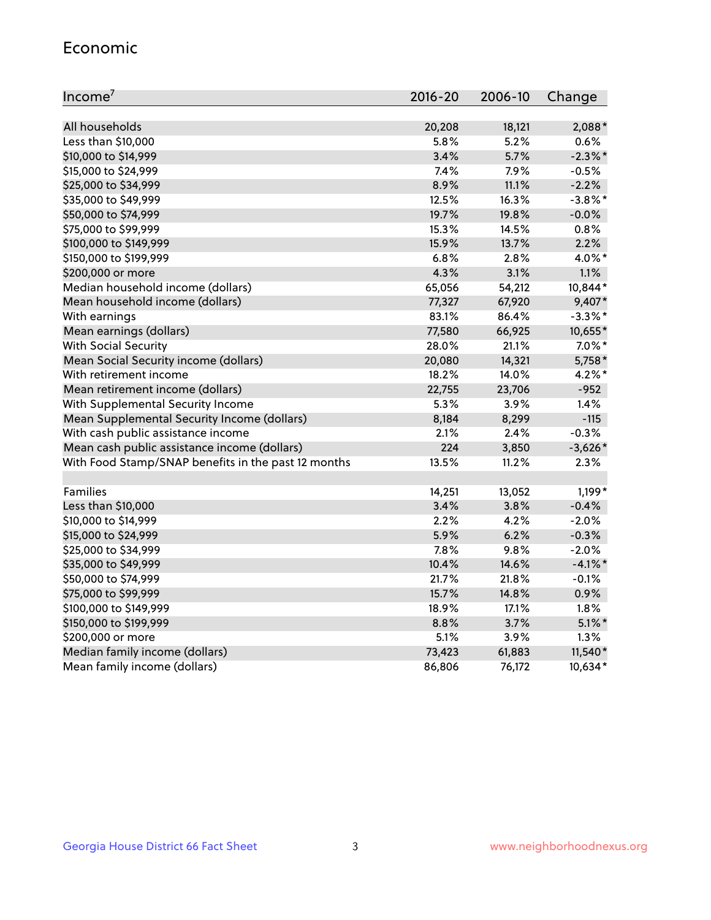#### Economic

| Income <sup>7</sup>                                 | $2016 - 20$ | 2006-10 | Change     |
|-----------------------------------------------------|-------------|---------|------------|
|                                                     |             |         |            |
| All households                                      | 20,208      | 18,121  | 2,088*     |
| Less than \$10,000                                  | 5.8%        | 5.2%    | 0.6%       |
| \$10,000 to \$14,999                                | 3.4%        | 5.7%    | $-2.3\%$ * |
| \$15,000 to \$24,999                                | 7.4%        | 7.9%    | $-0.5%$    |
| \$25,000 to \$34,999                                | 8.9%        | 11.1%   | $-2.2%$    |
| \$35,000 to \$49,999                                | 12.5%       | 16.3%   | $-3.8\%$ * |
| \$50,000 to \$74,999                                | 19.7%       | 19.8%   | $-0.0%$    |
| \$75,000 to \$99,999                                | 15.3%       | 14.5%   | 0.8%       |
| \$100,000 to \$149,999                              | 15.9%       | 13.7%   | 2.2%       |
| \$150,000 to \$199,999                              | 6.8%        | 2.8%    | 4.0%*      |
| \$200,000 or more                                   | 4.3%        | 3.1%    | 1.1%       |
| Median household income (dollars)                   | 65,056      | 54,212  | 10,844*    |
| Mean household income (dollars)                     | 77,327      | 67,920  | 9,407*     |
| With earnings                                       | 83.1%       | 86.4%   | $-3.3\%$ * |
| Mean earnings (dollars)                             | 77,580      | 66,925  | 10,655*    |
| <b>With Social Security</b>                         | 28.0%       | 21.1%   | $7.0\%$ *  |
| Mean Social Security income (dollars)               | 20,080      | 14,321  | 5,758*     |
| With retirement income                              | 18.2%       | 14.0%   | $4.2\%$ *  |
| Mean retirement income (dollars)                    | 22,755      | 23,706  | $-952$     |
| With Supplemental Security Income                   | $5.3\%$     | 3.9%    | 1.4%       |
| Mean Supplemental Security Income (dollars)         | 8,184       | 8,299   | $-115$     |
| With cash public assistance income                  | 2.1%        | 2.4%    | $-0.3%$    |
| Mean cash public assistance income (dollars)        | 224         | 3,850   | $-3,626*$  |
| With Food Stamp/SNAP benefits in the past 12 months | 13.5%       | 11.2%   | 2.3%       |
|                                                     |             |         |            |
| Families                                            | 14,251      | 13,052  | 1,199*     |
| Less than \$10,000                                  | 3.4%        | 3.8%    | $-0.4%$    |
| \$10,000 to \$14,999                                | 2.2%        | 4.2%    | $-2.0%$    |
| \$15,000 to \$24,999                                | 5.9%        | 6.2%    | $-0.3%$    |
| \$25,000 to \$34,999                                | 7.8%        | 9.8%    | $-2.0%$    |
| \$35,000 to \$49,999                                | 10.4%       | 14.6%   | $-4.1\%$ * |
| \$50,000 to \$74,999                                | 21.7%       | 21.8%   | $-0.1%$    |
| \$75,000 to \$99,999                                | 15.7%       | 14.8%   | 0.9%       |
| \$100,000 to \$149,999                              | 18.9%       | 17.1%   | 1.8%       |
| \$150,000 to \$199,999                              | 8.8%        | 3.7%    | $5.1\%$ *  |
| \$200,000 or more                                   | 5.1%        | 3.9%    | 1.3%       |
| Median family income (dollars)                      | 73,423      | 61,883  | $11,540*$  |
| Mean family income (dollars)                        | 86,806      | 76,172  | 10,634*    |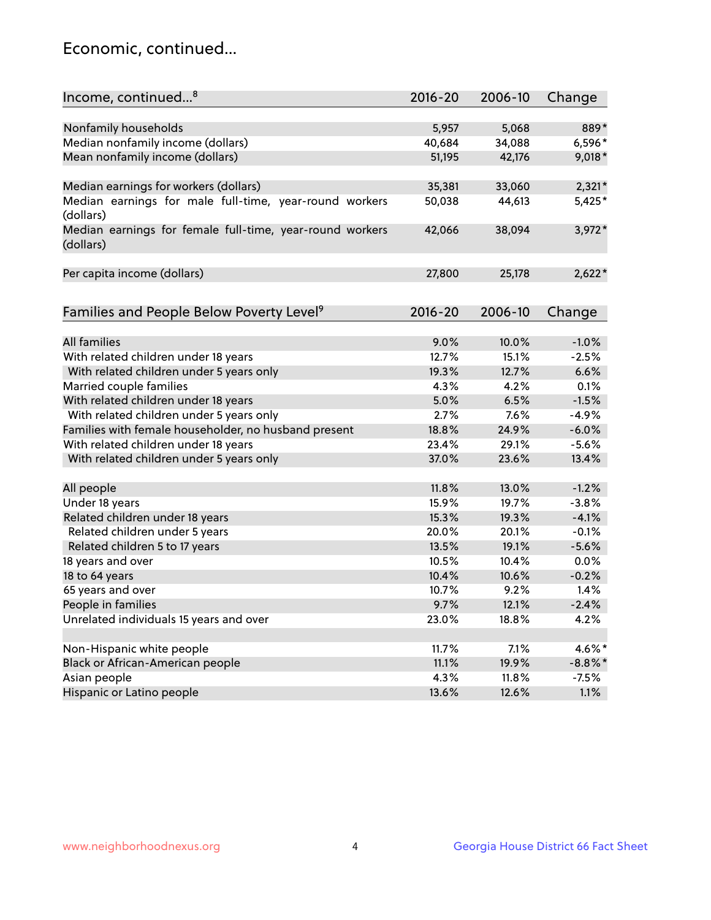## Economic, continued...

| Income, continued <sup>8</sup>                                        | $2016 - 20$ | 2006-10 | Change     |
|-----------------------------------------------------------------------|-------------|---------|------------|
|                                                                       |             |         |            |
| Nonfamily households                                                  | 5,957       | 5,068   | 889*       |
| Median nonfamily income (dollars)                                     | 40,684      | 34,088  | 6,596*     |
| Mean nonfamily income (dollars)                                       | 51,195      | 42,176  | 9,018*     |
| Median earnings for workers (dollars)                                 | 35,381      | 33,060  | $2,321*$   |
| Median earnings for male full-time, year-round workers<br>(dollars)   | 50,038      | 44,613  | 5,425*     |
| Median earnings for female full-time, year-round workers<br>(dollars) | 42,066      | 38,094  | $3,972*$   |
| Per capita income (dollars)                                           | 27,800      | 25,178  | $2,622*$   |
|                                                                       |             |         |            |
| Families and People Below Poverty Level <sup>9</sup>                  | $2016 - 20$ | 2006-10 | Change     |
| <b>All families</b>                                                   | 9.0%        | 10.0%   | $-1.0%$    |
| With related children under 18 years                                  | 12.7%       | 15.1%   | $-2.5%$    |
| With related children under 5 years only                              | 19.3%       | 12.7%   | 6.6%       |
| Married couple families                                               | 4.3%        | 4.2%    | 0.1%       |
| With related children under 18 years                                  | 5.0%        | 6.5%    | $-1.5%$    |
| With related children under 5 years only                              | 2.7%        | 7.6%    | $-4.9%$    |
| Families with female householder, no husband present                  | 18.8%       | 24.9%   | $-6.0%$    |
| With related children under 18 years                                  | 23.4%       | 29.1%   | $-5.6%$    |
| With related children under 5 years only                              | 37.0%       | 23.6%   | 13.4%      |
|                                                                       |             |         |            |
| All people                                                            | 11.8%       | 13.0%   | $-1.2%$    |
| Under 18 years                                                        | 15.9%       | 19.7%   | $-3.8%$    |
| Related children under 18 years                                       | 15.3%       | 19.3%   | $-4.1%$    |
| Related children under 5 years                                        | 20.0%       | 20.1%   | $-0.1%$    |
| Related children 5 to 17 years                                        | 13.5%       | 19.1%   | $-5.6%$    |
| 18 years and over                                                     | 10.5%       | 10.4%   | 0.0%       |
| 18 to 64 years                                                        | 10.4%       | 10.6%   | $-0.2%$    |
| 65 years and over                                                     | 10.7%       | 9.2%    | 1.4%       |
| People in families                                                    | 9.7%        | 12.1%   | $-2.4%$    |
| Unrelated individuals 15 years and over                               | 23.0%       | 18.8%   | 4.2%       |
|                                                                       |             |         |            |
| Non-Hispanic white people                                             | 11.7%       | 7.1%    | 4.6%*      |
| Black or African-American people                                      | 11.1%       | 19.9%   | $-8.8\%$ * |
| Asian people                                                          | 4.3%        | 11.8%   | $-7.5%$    |
| Hispanic or Latino people                                             | 13.6%       | 12.6%   | 1.1%       |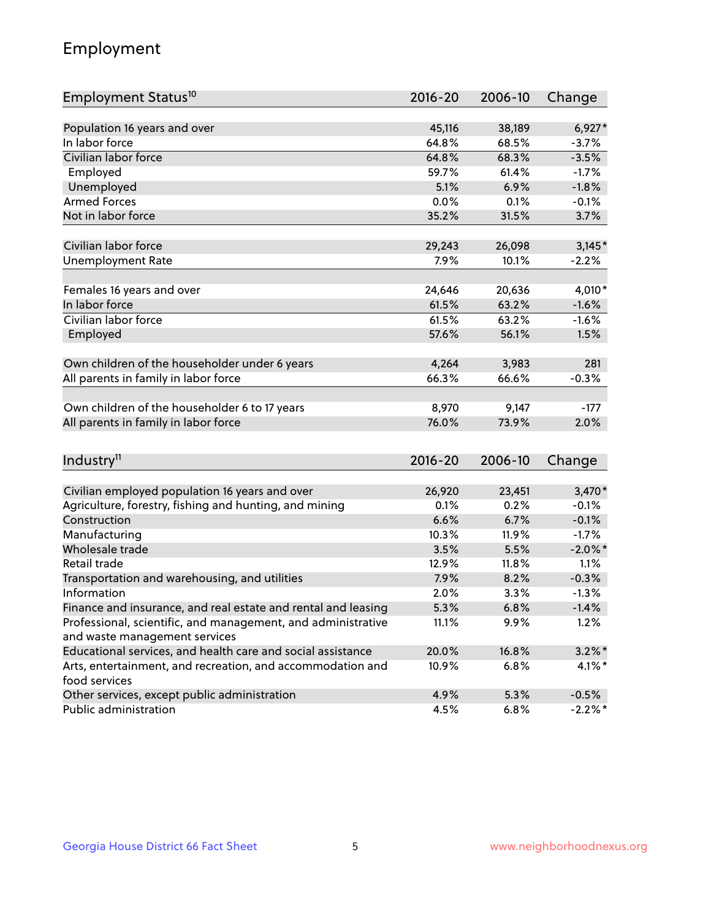## Employment

| Employment Status <sup>10</sup>                                             | $2016 - 20$ | 2006-10 | Change     |
|-----------------------------------------------------------------------------|-------------|---------|------------|
|                                                                             |             |         |            |
| Population 16 years and over                                                | 45,116      | 38,189  | $6,927*$   |
| In labor force                                                              | 64.8%       | 68.5%   | $-3.7%$    |
| Civilian labor force                                                        | 64.8%       | 68.3%   | $-3.5%$    |
| Employed                                                                    | 59.7%       | 61.4%   | $-1.7%$    |
| Unemployed                                                                  | 5.1%        | 6.9%    | $-1.8%$    |
| <b>Armed Forces</b>                                                         | 0.0%        | 0.1%    | $-0.1%$    |
| Not in labor force                                                          | 35.2%       | 31.5%   | 3.7%       |
| Civilian labor force                                                        |             |         |            |
|                                                                             | 29,243      | 26,098  | $3,145*$   |
| <b>Unemployment Rate</b>                                                    | 7.9%        | 10.1%   | $-2.2%$    |
| Females 16 years and over                                                   | 24,646      | 20,636  | 4,010*     |
| In labor force                                                              | 61.5%       | 63.2%   | $-1.6%$    |
| Civilian labor force                                                        | 61.5%       | 63.2%   | $-1.6%$    |
| Employed                                                                    | 57.6%       | 56.1%   | 1.5%       |
|                                                                             |             |         |            |
| Own children of the householder under 6 years                               | 4,264       | 3,983   | 281        |
| All parents in family in labor force                                        | 66.3%       | 66.6%   | $-0.3%$    |
| Own children of the householder 6 to 17 years                               | 8,970       | 9,147   | $-177$     |
| All parents in family in labor force                                        | 76.0%       | 73.9%   | 2.0%       |
|                                                                             |             |         |            |
| Industry <sup>11</sup>                                                      | $2016 - 20$ | 2006-10 | Change     |
|                                                                             |             |         |            |
| Civilian employed population 16 years and over                              | 26,920      | 23,451  | 3,470*     |
| Agriculture, forestry, fishing and hunting, and mining                      | 0.1%        | 0.2%    | $-0.1%$    |
| Construction                                                                | 6.6%        | 6.7%    | $-0.1%$    |
| Manufacturing                                                               | 10.3%       | 11.9%   | $-1.7%$    |
| Wholesale trade                                                             | 3.5%        | 5.5%    | $-2.0\%$ * |
| Retail trade                                                                | 12.9%       | 11.8%   | 1.1%       |
| Transportation and warehousing, and utilities                               | 7.9%        | 8.2%    | $-0.3%$    |
| Information                                                                 | 2.0%        | 3.3%    | $-1.3%$    |
| Finance and insurance, and real estate and rental and leasing               | 5.3%        | 6.8%    | $-1.4%$    |
| Professional, scientific, and management, and administrative                | 11.1%       | 9.9%    | 1.2%       |
| and waste management services                                               |             |         |            |
| Educational services, and health care and social assistance                 | 20.0%       | 16.8%   | $3.2\%$ *  |
| Arts, entertainment, and recreation, and accommodation and<br>food services | 10.9%       | 6.8%    | $4.1\%$ *  |
| Other services, except public administration                                | 4.9%        | 5.3%    | $-0.5%$    |
| Public administration                                                       | 4.5%        | 6.8%    | $-2.2%$ *  |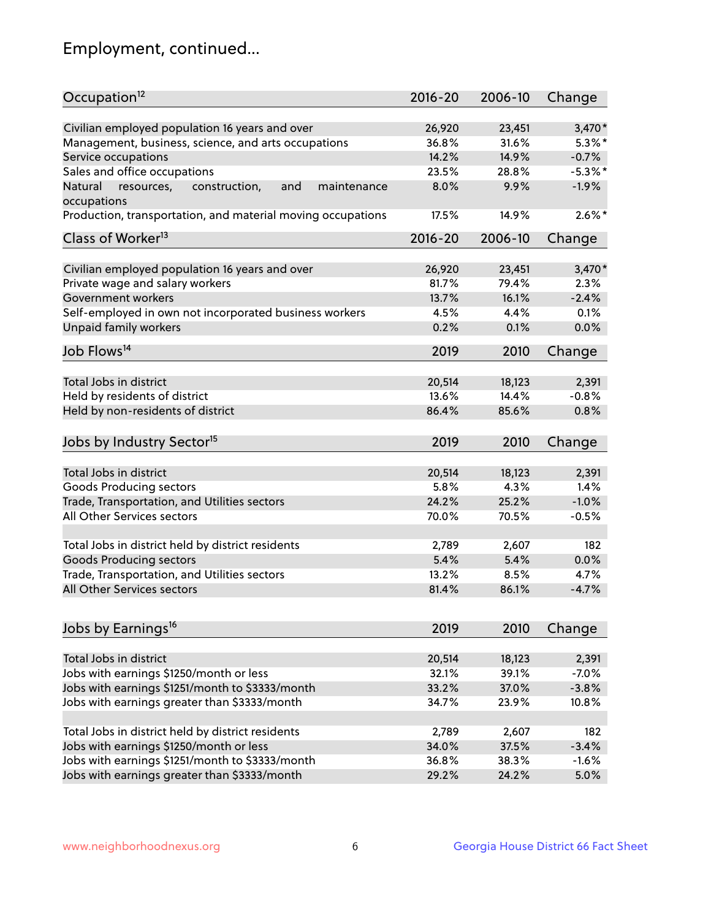## Employment, continued...

| Occupation <sup>12</sup>                                                    | $2016 - 20$ | 2006-10 | Change     |
|-----------------------------------------------------------------------------|-------------|---------|------------|
| Civilian employed population 16 years and over                              | 26,920      | 23,451  | $3,470*$   |
| Management, business, science, and arts occupations                         | 36.8%       | 31.6%   | $5.3\%$ *  |
| Service occupations                                                         | 14.2%       | 14.9%   | $-0.7%$    |
| Sales and office occupations                                                | 23.5%       | 28.8%   | $-5.3\%$ * |
|                                                                             |             |         | $-1.9%$    |
| Natural<br>and<br>resources,<br>construction,<br>maintenance<br>occupations | 8.0%        | 9.9%    |            |
| Production, transportation, and material moving occupations                 | 17.5%       | 14.9%   | $2.6\%$ *  |
| Class of Worker <sup>13</sup>                                               | $2016 - 20$ | 2006-10 | Change     |
|                                                                             |             |         |            |
| Civilian employed population 16 years and over                              | 26,920      | 23,451  | $3,470*$   |
| Private wage and salary workers                                             | 81.7%       | 79.4%   | 2.3%       |
| Government workers                                                          | 13.7%       | 16.1%   | $-2.4%$    |
| Self-employed in own not incorporated business workers                      | 4.5%        | 4.4%    | 0.1%       |
| Unpaid family workers                                                       | 0.2%        | 0.1%    | 0.0%       |
| Job Flows <sup>14</sup>                                                     | 2019        | 2010    | Change     |
|                                                                             |             |         |            |
| Total Jobs in district                                                      | 20,514      | 18,123  | 2,391      |
| Held by residents of district                                               | 13.6%       | 14.4%   | $-0.8%$    |
| Held by non-residents of district                                           | 86.4%       | 85.6%   | 0.8%       |
| Jobs by Industry Sector <sup>15</sup>                                       | 2019        | 2010    | Change     |
|                                                                             |             |         |            |
| Total Jobs in district                                                      | 20,514      | 18,123  | 2,391      |
| Goods Producing sectors                                                     | 5.8%        | 4.3%    | 1.4%       |
| Trade, Transportation, and Utilities sectors                                | 24.2%       | 25.2%   | $-1.0%$    |
| All Other Services sectors                                                  | 70.0%       | 70.5%   | $-0.5%$    |
| Total Jobs in district held by district residents                           | 2,789       | 2,607   | 182        |
| <b>Goods Producing sectors</b>                                              | 5.4%        | 5.4%    | 0.0%       |
| Trade, Transportation, and Utilities sectors                                | 13.2%       | 8.5%    | 4.7%       |
| All Other Services sectors                                                  | 81.4%       | 86.1%   | $-4.7%$    |
|                                                                             |             |         |            |
| Jobs by Earnings <sup>16</sup>                                              | 2019        | 2010    | Change     |
|                                                                             |             |         |            |
| Total Jobs in district                                                      | 20,514      | 18,123  | 2,391      |
| Jobs with earnings \$1250/month or less                                     | 32.1%       | 39.1%   | $-7.0%$    |
| Jobs with earnings \$1251/month to \$3333/month                             | 33.2%       | 37.0%   | $-3.8%$    |
| Jobs with earnings greater than \$3333/month                                | 34.7%       | 23.9%   | 10.8%      |
| Total Jobs in district held by district residents                           | 2,789       | 2,607   | 182        |
| Jobs with earnings \$1250/month or less                                     | 34.0%       | 37.5%   | $-3.4%$    |
| Jobs with earnings \$1251/month to \$3333/month                             | 36.8%       | 38.3%   | $-1.6%$    |
| Jobs with earnings greater than \$3333/month                                | 29.2%       | 24.2%   | 5.0%       |
|                                                                             |             |         |            |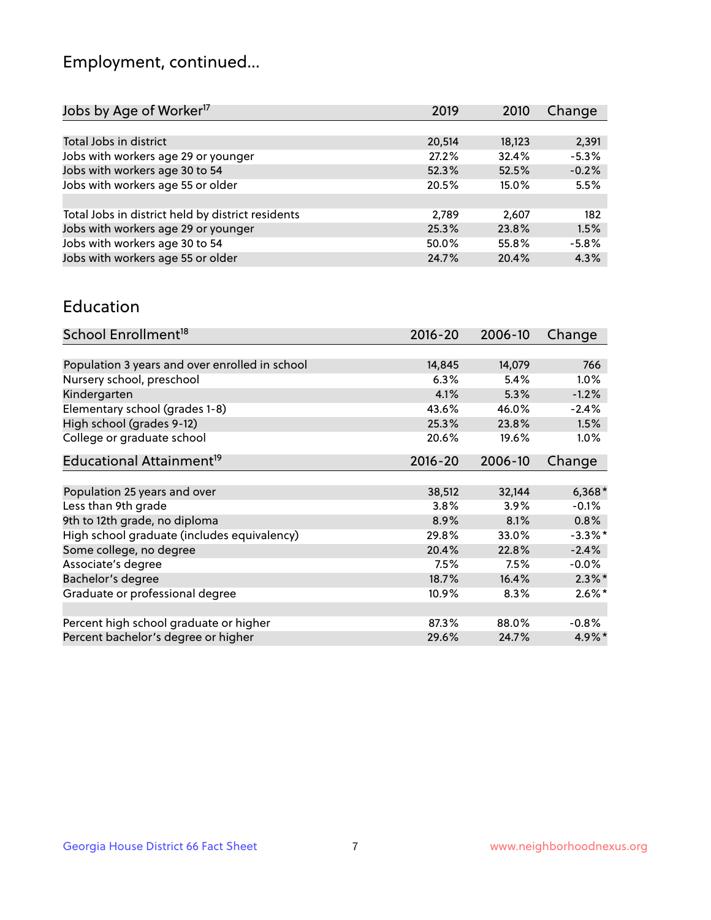## Employment, continued...

| 2,391   |
|---------|
| $-5.3%$ |
| $-0.2%$ |
| 5.5%    |
|         |
| 182     |
| 1.5%    |
| $-5.8%$ |
| 4.3%    |
|         |

#### Education

| School Enrollment <sup>18</sup>                | $2016 - 20$ | 2006-10 | Change     |
|------------------------------------------------|-------------|---------|------------|
|                                                |             |         |            |
| Population 3 years and over enrolled in school | 14,845      | 14,079  | 766        |
| Nursery school, preschool                      | 6.3%        | 5.4%    | 1.0%       |
| Kindergarten                                   | 4.1%        | 5.3%    | $-1.2%$    |
| Elementary school (grades 1-8)                 | 43.6%       | 46.0%   | $-2.4%$    |
| High school (grades 9-12)                      | 25.3%       | 23.8%   | 1.5%       |
| College or graduate school                     | 20.6%       | 19.6%   | 1.0%       |
| Educational Attainment <sup>19</sup>           | $2016 - 20$ | 2006-10 | Change     |
|                                                |             |         |            |
| Population 25 years and over                   | 38,512      | 32,144  | $6,368*$   |
| Less than 9th grade                            | 3.8%        | 3.9%    | $-0.1%$    |
| 9th to 12th grade, no diploma                  | 8.9%        | 8.1%    | 0.8%       |
| High school graduate (includes equivalency)    | 29.8%       | 33.0%   | $-3.3\%$ * |
| Some college, no degree                        | 20.4%       | 22.8%   | $-2.4%$    |
| Associate's degree                             | 7.5%        | 7.5%    | $-0.0%$    |
| Bachelor's degree                              | 18.7%       | 16.4%   | $2.3\%$ *  |
| Graduate or professional degree                | 10.9%       | 8.3%    | $2.6\%$ *  |
|                                                |             |         |            |
| Percent high school graduate or higher         | 87.3%       | 88.0%   | $-0.8%$    |
| Percent bachelor's degree or higher            | 29.6%       | 24.7%   | $4.9\%$ *  |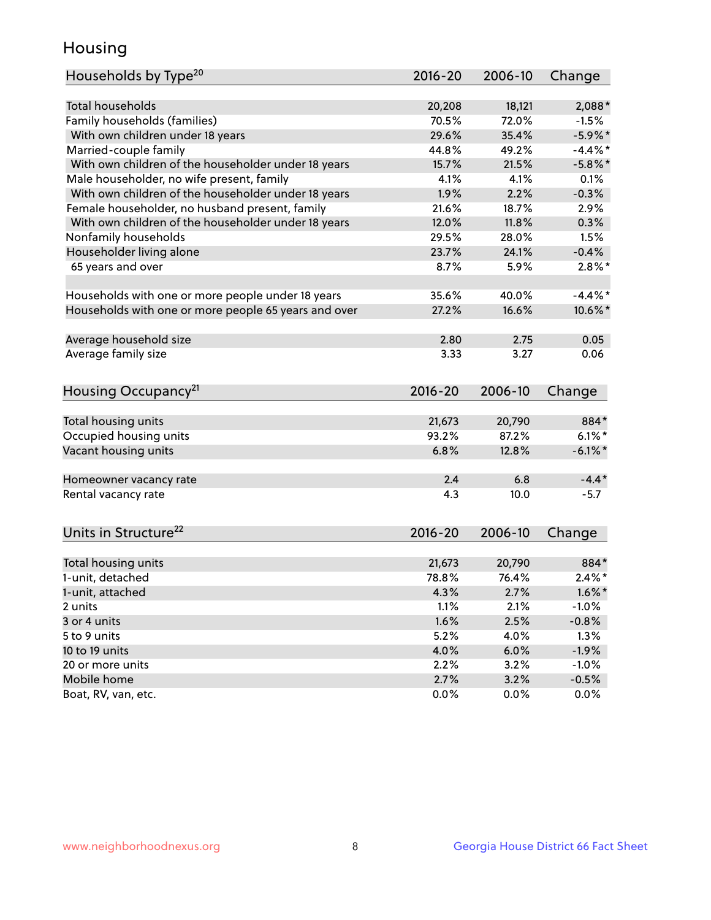## Housing

| <b>Total households</b><br>18,121<br>2,088*<br>20,208<br>Family households (families)<br>70.5%<br>72.0%<br>$-1.5%$<br>With own children under 18 years<br>29.6%<br>35.4%<br>$-5.9%$ *<br>Married-couple family<br>44.8%<br>49.2%<br>$-4.4\%$ *<br>With own children of the householder under 18 years<br>15.7%<br>21.5%<br>$-5.8\%$ *<br>Male householder, no wife present, family<br>4.1%<br>4.1%<br>0.1%<br>With own children of the householder under 18 years<br>1.9%<br>$-0.3%$<br>2.2%<br>Female householder, no husband present, family<br>21.6%<br>18.7%<br>2.9%<br>With own children of the householder under 18 years<br>12.0%<br>11.8%<br>0.3%<br>Nonfamily households<br>29.5%<br>28.0%<br>1.5%<br>Householder living alone<br>23.7%<br>24.1%<br>$-0.4%$<br>8.7%<br>5.9%<br>65 years and over<br>Households with one or more people under 18 years<br>35.6%<br>40.0%<br>$-4.4\%$ *<br>Households with one or more people 65 years and over<br>27.2%<br>16.6%<br>10.6%*<br>Average household size<br>2.80<br>2.75<br>0.05<br>Average family size<br>3.33<br>3.27<br>0.06<br>Housing Occupancy <sup>21</sup><br>2016-20<br>2006-10<br>Change<br>Total housing units<br>21,673<br>20,790<br>884*<br>Occupied housing units<br>93.2%<br>87.2%<br>$6.1\%$ * |
|--------------------------------------------------------------------------------------------------------------------------------------------------------------------------------------------------------------------------------------------------------------------------------------------------------------------------------------------------------------------------------------------------------------------------------------------------------------------------------------------------------------------------------------------------------------------------------------------------------------------------------------------------------------------------------------------------------------------------------------------------------------------------------------------------------------------------------------------------------------------------------------------------------------------------------------------------------------------------------------------------------------------------------------------------------------------------------------------------------------------------------------------------------------------------------------------------------------------------------------------------------------------|
|                                                                                                                                                                                                                                                                                                                                                                                                                                                                                                                                                                                                                                                                                                                                                                                                                                                                                                                                                                                                                                                                                                                                                                                                                                                                    |
|                                                                                                                                                                                                                                                                                                                                                                                                                                                                                                                                                                                                                                                                                                                                                                                                                                                                                                                                                                                                                                                                                                                                                                                                                                                                    |
|                                                                                                                                                                                                                                                                                                                                                                                                                                                                                                                                                                                                                                                                                                                                                                                                                                                                                                                                                                                                                                                                                                                                                                                                                                                                    |
|                                                                                                                                                                                                                                                                                                                                                                                                                                                                                                                                                                                                                                                                                                                                                                                                                                                                                                                                                                                                                                                                                                                                                                                                                                                                    |
|                                                                                                                                                                                                                                                                                                                                                                                                                                                                                                                                                                                                                                                                                                                                                                                                                                                                                                                                                                                                                                                                                                                                                                                                                                                                    |
| $2.8\%$ *                                                                                                                                                                                                                                                                                                                                                                                                                                                                                                                                                                                                                                                                                                                                                                                                                                                                                                                                                                                                                                                                                                                                                                                                                                                          |
|                                                                                                                                                                                                                                                                                                                                                                                                                                                                                                                                                                                                                                                                                                                                                                                                                                                                                                                                                                                                                                                                                                                                                                                                                                                                    |
|                                                                                                                                                                                                                                                                                                                                                                                                                                                                                                                                                                                                                                                                                                                                                                                                                                                                                                                                                                                                                                                                                                                                                                                                                                                                    |
|                                                                                                                                                                                                                                                                                                                                                                                                                                                                                                                                                                                                                                                                                                                                                                                                                                                                                                                                                                                                                                                                                                                                                                                                                                                                    |
|                                                                                                                                                                                                                                                                                                                                                                                                                                                                                                                                                                                                                                                                                                                                                                                                                                                                                                                                                                                                                                                                                                                                                                                                                                                                    |
|                                                                                                                                                                                                                                                                                                                                                                                                                                                                                                                                                                                                                                                                                                                                                                                                                                                                                                                                                                                                                                                                                                                                                                                                                                                                    |
|                                                                                                                                                                                                                                                                                                                                                                                                                                                                                                                                                                                                                                                                                                                                                                                                                                                                                                                                                                                                                                                                                                                                                                                                                                                                    |
|                                                                                                                                                                                                                                                                                                                                                                                                                                                                                                                                                                                                                                                                                                                                                                                                                                                                                                                                                                                                                                                                                                                                                                                                                                                                    |
|                                                                                                                                                                                                                                                                                                                                                                                                                                                                                                                                                                                                                                                                                                                                                                                                                                                                                                                                                                                                                                                                                                                                                                                                                                                                    |
|                                                                                                                                                                                                                                                                                                                                                                                                                                                                                                                                                                                                                                                                                                                                                                                                                                                                                                                                                                                                                                                                                                                                                                                                                                                                    |
|                                                                                                                                                                                                                                                                                                                                                                                                                                                                                                                                                                                                                                                                                                                                                                                                                                                                                                                                                                                                                                                                                                                                                                                                                                                                    |
|                                                                                                                                                                                                                                                                                                                                                                                                                                                                                                                                                                                                                                                                                                                                                                                                                                                                                                                                                                                                                                                                                                                                                                                                                                                                    |
|                                                                                                                                                                                                                                                                                                                                                                                                                                                                                                                                                                                                                                                                                                                                                                                                                                                                                                                                                                                                                                                                                                                                                                                                                                                                    |
|                                                                                                                                                                                                                                                                                                                                                                                                                                                                                                                                                                                                                                                                                                                                                                                                                                                                                                                                                                                                                                                                                                                                                                                                                                                                    |
|                                                                                                                                                                                                                                                                                                                                                                                                                                                                                                                                                                                                                                                                                                                                                                                                                                                                                                                                                                                                                                                                                                                                                                                                                                                                    |
|                                                                                                                                                                                                                                                                                                                                                                                                                                                                                                                                                                                                                                                                                                                                                                                                                                                                                                                                                                                                                                                                                                                                                                                                                                                                    |
|                                                                                                                                                                                                                                                                                                                                                                                                                                                                                                                                                                                                                                                                                                                                                                                                                                                                                                                                                                                                                                                                                                                                                                                                                                                                    |
|                                                                                                                                                                                                                                                                                                                                                                                                                                                                                                                                                                                                                                                                                                                                                                                                                                                                                                                                                                                                                                                                                                                                                                                                                                                                    |
|                                                                                                                                                                                                                                                                                                                                                                                                                                                                                                                                                                                                                                                                                                                                                                                                                                                                                                                                                                                                                                                                                                                                                                                                                                                                    |
| Vacant housing units<br>6.8%<br>$-6.1\%$ *<br>12.8%                                                                                                                                                                                                                                                                                                                                                                                                                                                                                                                                                                                                                                                                                                                                                                                                                                                                                                                                                                                                                                                                                                                                                                                                                |
| $-4.4*$<br>2.4<br>6.8<br>Homeowner vacancy rate                                                                                                                                                                                                                                                                                                                                                                                                                                                                                                                                                                                                                                                                                                                                                                                                                                                                                                                                                                                                                                                                                                                                                                                                                    |
| Rental vacancy rate<br>4.3<br>10.0<br>$-5.7$                                                                                                                                                                                                                                                                                                                                                                                                                                                                                                                                                                                                                                                                                                                                                                                                                                                                                                                                                                                                                                                                                                                                                                                                                       |
|                                                                                                                                                                                                                                                                                                                                                                                                                                                                                                                                                                                                                                                                                                                                                                                                                                                                                                                                                                                                                                                                                                                                                                                                                                                                    |
| Units in Structure <sup>22</sup><br>2016-20<br>2006-10<br>Change                                                                                                                                                                                                                                                                                                                                                                                                                                                                                                                                                                                                                                                                                                                                                                                                                                                                                                                                                                                                                                                                                                                                                                                                   |
|                                                                                                                                                                                                                                                                                                                                                                                                                                                                                                                                                                                                                                                                                                                                                                                                                                                                                                                                                                                                                                                                                                                                                                                                                                                                    |
| Total housing units<br>21,673<br>20,790<br>884*                                                                                                                                                                                                                                                                                                                                                                                                                                                                                                                                                                                                                                                                                                                                                                                                                                                                                                                                                                                                                                                                                                                                                                                                                    |
| $2.4\%$ *<br>1-unit, detached<br>78.8%<br>76.4%                                                                                                                                                                                                                                                                                                                                                                                                                                                                                                                                                                                                                                                                                                                                                                                                                                                                                                                                                                                                                                                                                                                                                                                                                    |
| 4.3%<br>2.7%<br>$1.6\%$ *<br>1-unit, attached                                                                                                                                                                                                                                                                                                                                                                                                                                                                                                                                                                                                                                                                                                                                                                                                                                                                                                                                                                                                                                                                                                                                                                                                                      |
| 2.1%<br>$-1.0%$<br>2 units<br>1.1%                                                                                                                                                                                                                                                                                                                                                                                                                                                                                                                                                                                                                                                                                                                                                                                                                                                                                                                                                                                                                                                                                                                                                                                                                                 |
| 1.6%<br>3 or 4 units<br>2.5%<br>$-0.8%$                                                                                                                                                                                                                                                                                                                                                                                                                                                                                                                                                                                                                                                                                                                                                                                                                                                                                                                                                                                                                                                                                                                                                                                                                            |
| 5.2%<br>5 to 9 units<br>4.0%<br>1.3%                                                                                                                                                                                                                                                                                                                                                                                                                                                                                                                                                                                                                                                                                                                                                                                                                                                                                                                                                                                                                                                                                                                                                                                                                               |
| 10 to 19 units<br>4.0%<br>6.0%<br>$-1.9%$                                                                                                                                                                                                                                                                                                                                                                                                                                                                                                                                                                                                                                                                                                                                                                                                                                                                                                                                                                                                                                                                                                                                                                                                                          |
| 2.2%<br>3.2%<br>20 or more units<br>$-1.0%$                                                                                                                                                                                                                                                                                                                                                                                                                                                                                                                                                                                                                                                                                                                                                                                                                                                                                                                                                                                                                                                                                                                                                                                                                        |
| Mobile home<br>2.7%<br>3.2%<br>$-0.5%$                                                                                                                                                                                                                                                                                                                                                                                                                                                                                                                                                                                                                                                                                                                                                                                                                                                                                                                                                                                                                                                                                                                                                                                                                             |
| Boat, RV, van, etc.<br>0.0%<br>0.0%<br>0.0%                                                                                                                                                                                                                                                                                                                                                                                                                                                                                                                                                                                                                                                                                                                                                                                                                                                                                                                                                                                                                                                                                                                                                                                                                        |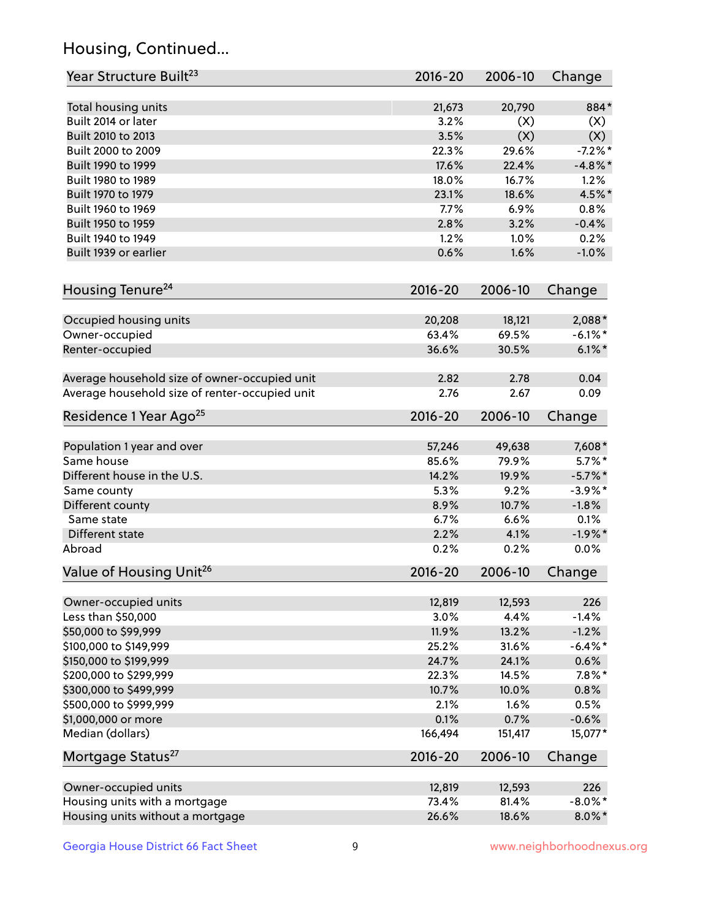## Housing, Continued...

| Year Structure Built <sup>23</sup>             | 2016-20     | 2006-10 | Change     |
|------------------------------------------------|-------------|---------|------------|
| Total housing units                            | 21,673      | 20,790  | 884*       |
| Built 2014 or later                            | 3.2%        | (X)     | (X)        |
| Built 2010 to 2013                             | 3.5%        | (X)     | (X)        |
| Built 2000 to 2009                             | 22.3%       | 29.6%   | $-7.2%$ *  |
| Built 1990 to 1999                             | 17.6%       | 22.4%   | $-4.8\%$ * |
| Built 1980 to 1989                             | 18.0%       | 16.7%   | 1.2%       |
| Built 1970 to 1979                             | 23.1%       | 18.6%   | 4.5%*      |
| Built 1960 to 1969                             | 7.7%        | 6.9%    | 0.8%       |
| Built 1950 to 1959                             | 2.8%        | 3.2%    | $-0.4%$    |
| Built 1940 to 1949                             | 1.2%        | 1.0%    | 0.2%       |
| Built 1939 or earlier                          | 0.6%        | 1.6%    | $-1.0%$    |
| Housing Tenure <sup>24</sup>                   | $2016 - 20$ | 2006-10 | Change     |
| Occupied housing units                         | 20,208      | 18,121  | $2,088*$   |
| Owner-occupied                                 | 63.4%       | 69.5%   | $-6.1\%$ * |
| Renter-occupied                                | 36.6%       | 30.5%   | $6.1\%$ *  |
| Average household size of owner-occupied unit  | 2.82        | 2.78    | 0.04       |
| Average household size of renter-occupied unit | 2.76        | 2.67    | 0.09       |
| Residence 1 Year Ago <sup>25</sup>             | $2016 - 20$ | 2006-10 | Change     |
| Population 1 year and over                     | 57,246      | 49,638  | 7,608*     |
| Same house                                     | 85.6%       | 79.9%   | $5.7\%$ *  |
| Different house in the U.S.                    | 14.2%       | 19.9%   | $-5.7\%$ * |
| Same county                                    | 5.3%        | 9.2%    | $-3.9\%$ * |
| Different county                               | 8.9%        | 10.7%   | $-1.8%$    |
| Same state                                     | 6.7%        | 6.6%    | 0.1%       |
| Different state                                | 2.2%        | 4.1%    | $-1.9%$ *  |
| Abroad                                         | 0.2%        | 0.2%    | 0.0%       |
| Value of Housing Unit <sup>26</sup>            | $2016 - 20$ | 2006-10 | Change     |
| Owner-occupied units                           | 12,819      | 12,593  | 226        |
| Less than \$50,000                             | 3.0%        | 4.4%    | $-1.4%$    |
| \$50,000 to \$99,999                           | 11.9%       | 13.2%   | $-1.2%$    |
| \$100,000 to \$149,999                         | 25.2%       | 31.6%   | $-6.4\%$ * |
| \$150,000 to \$199,999                         | 24.7%       | 24.1%   | 0.6%       |
| \$200,000 to \$299,999                         | 22.3%       | 14.5%   | $7.8\%$ *  |
| \$300,000 to \$499,999                         | 10.7%       | 10.0%   | 0.8%       |
| \$500,000 to \$999,999                         | 2.1%        | 1.6%    | 0.5%       |
| \$1,000,000 or more                            | 0.1%        | 0.7%    | $-0.6%$    |
| Median (dollars)                               | 166,494     | 151,417 | $15,077*$  |
| Mortgage Status <sup>27</sup>                  | $2016 - 20$ | 2006-10 | Change     |
| Owner-occupied units                           | 12,819      | 12,593  | 226        |
| Housing units with a mortgage                  | 73.4%       | 81.4%   | $-8.0\%$ * |
| Housing units without a mortgage               | 26.6%       | 18.6%   | $8.0\%$ *  |
|                                                |             |         |            |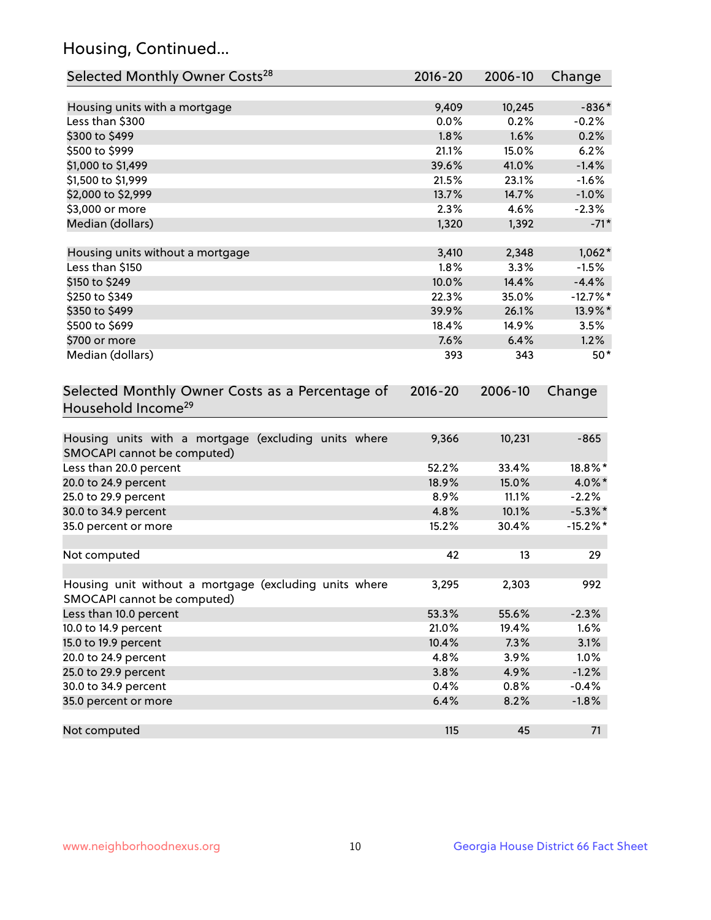## Housing, Continued...

| Selected Monthly Owner Costs <sup>28</sup>                                            | 2016-20     | 2006-10 | Change      |
|---------------------------------------------------------------------------------------|-------------|---------|-------------|
| Housing units with a mortgage                                                         | 9,409       | 10,245  | $-836*$     |
| Less than \$300                                                                       | 0.0%        | 0.2%    | $-0.2%$     |
| \$300 to \$499                                                                        | 1.8%        | 1.6%    | 0.2%        |
| \$500 to \$999                                                                        | 21.1%       | 15.0%   | 6.2%        |
| \$1,000 to \$1,499                                                                    | 39.6%       | 41.0%   | $-1.4%$     |
| \$1,500 to \$1,999                                                                    | 21.5%       | 23.1%   | $-1.6%$     |
| \$2,000 to \$2,999                                                                    | 13.7%       | 14.7%   | $-1.0%$     |
| \$3,000 or more                                                                       | 2.3%        | 4.6%    | $-2.3%$     |
| Median (dollars)                                                                      | 1,320       | 1,392   | $-71*$      |
| Housing units without a mortgage                                                      | 3,410       | 2,348   | $1,062*$    |
| Less than \$150                                                                       | 1.8%        | 3.3%    | $-1.5%$     |
| \$150 to \$249                                                                        | 10.0%       | 14.4%   | $-4.4%$     |
| \$250 to \$349                                                                        | 22.3%       | 35.0%   | $-12.7%$ *  |
| \$350 to \$499                                                                        | 39.9%       | 26.1%   | 13.9%*      |
| \$500 to \$699                                                                        | 18.4%       | 14.9%   | 3.5%        |
| \$700 or more                                                                         | 7.6%        | 6.4%    | 1.2%        |
| Median (dollars)                                                                      | 393         | 343     | $50*$       |
| Selected Monthly Owner Costs as a Percentage of<br>Household Income <sup>29</sup>     | $2016 - 20$ | 2006-10 | Change      |
| Housing units with a mortgage (excluding units where<br>SMOCAPI cannot be computed)   | 9,366       | 10,231  | $-865$      |
| Less than 20.0 percent                                                                | 52.2%       | 33.4%   | 18.8%*      |
| 20.0 to 24.9 percent                                                                  | 18.9%       | 15.0%   | 4.0%*       |
| 25.0 to 29.9 percent                                                                  | 8.9%        | 11.1%   | $-2.2%$     |
| 30.0 to 34.9 percent                                                                  | 4.8%        | 10.1%   | $-5.3\%$ *  |
| 35.0 percent or more                                                                  | 15.2%       | 30.4%   | $-15.2\%$ * |
| Not computed                                                                          | 42          | 13      | 29          |
| Housing unit without a mortgage (excluding units where<br>SMOCAPI cannot be computed) | 3,295       | 2,303   | 992         |
| Less than 10.0 percent                                                                | 53.3%       | 55.6%   | $-2.3%$     |
| 10.0 to 14.9 percent                                                                  | 21.0%       | 19.4%   | 1.6%        |
| 15.0 to 19.9 percent                                                                  | 10.4%       | 7.3%    | 3.1%        |
| 20.0 to 24.9 percent                                                                  | 4.8%        | 3.9%    | 1.0%        |
| 25.0 to 29.9 percent                                                                  | 3.8%        | 4.9%    | $-1.2%$     |
| 30.0 to 34.9 percent                                                                  | 0.4%        | 0.8%    | $-0.4%$     |
| 35.0 percent or more                                                                  | 6.4%        | 8.2%    | $-1.8%$     |
| Not computed                                                                          | 115         | 45      | 71          |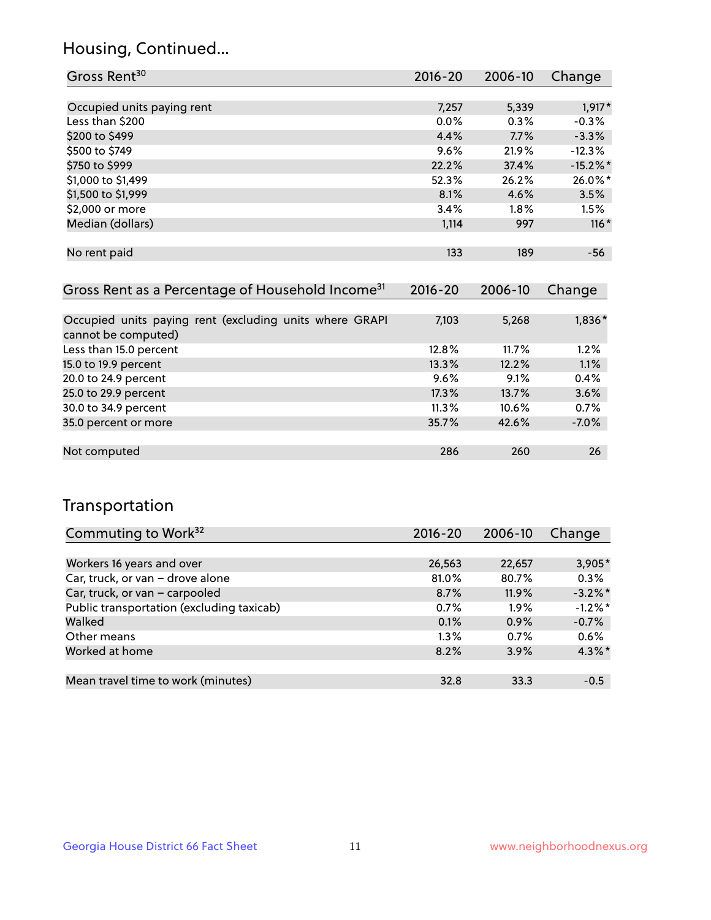## Housing, Continued...

| Gross Rent <sup>30</sup>   | 2016-20 | 2006-10 | Change      |
|----------------------------|---------|---------|-------------|
|                            |         |         |             |
| Occupied units paying rent | 7,257   | 5,339   | $1,917*$    |
| Less than \$200            | $0.0\%$ | 0.3%    | $-0.3%$     |
| \$200 to \$499             | 4.4%    | 7.7%    | $-3.3%$     |
| \$500 to \$749             | 9.6%    | 21.9%   | $-12.3%$    |
| \$750 to \$999             | 22.2%   | 37.4%   | $-15.2\%$ * |
| \$1,000 to \$1,499         | 52.3%   | 26.2%   | 26.0%*      |
| \$1,500 to \$1,999         | 8.1%    | 4.6%    | 3.5%        |
| \$2,000 or more            | 3.4%    | 1.8%    | 1.5%        |
| Median (dollars)           | 1,114   | 997     | $116*$      |
|                            |         |         |             |
| No rent paid               | 133     | 189     | -56         |

| Gross Rent as a Percentage of Household Income <sup>31</sup>                   | $2016 - 20$ | 2006-10  | Change  |
|--------------------------------------------------------------------------------|-------------|----------|---------|
|                                                                                |             |          |         |
| Occupied units paying rent (excluding units where GRAPI<br>cannot be computed) | 7,103       | 5,268    | 1,836*  |
| Less than 15.0 percent                                                         | 12.8%       | 11.7%    | 1.2%    |
| 15.0 to 19.9 percent                                                           | 13.3%       | 12.2%    | 1.1%    |
| 20.0 to 24.9 percent                                                           | $9.6\%$     | 9.1%     | 0.4%    |
| 25.0 to 29.9 percent                                                           | 17.3%       | 13.7%    | 3.6%    |
| 30.0 to 34.9 percent                                                           | $11.3\%$    | $10.6\%$ | 0.7%    |
| 35.0 percent or more                                                           | 35.7%       | 42.6%    | $-7.0%$ |
|                                                                                |             |          |         |
| Not computed                                                                   | 286         | 260      | 26      |

## Transportation

| Commuting to Work <sup>32</sup>           | 2016-20 | 2006-10 | Change     |
|-------------------------------------------|---------|---------|------------|
|                                           |         |         |            |
| Workers 16 years and over                 | 26,563  | 22,657  | 3,905*     |
| Car, truck, or van - drove alone          | 81.0%   | 80.7%   | 0.3%       |
| Car, truck, or van - carpooled            | 8.7%    | 11.9%   | $-3.2\%$ * |
| Public transportation (excluding taxicab) | 0.7%    | 1.9%    | $-1.2\%$ * |
| Walked                                    | 0.1%    | 0.9%    | $-0.7%$    |
| Other means                               | $1.3\%$ | $0.7\%$ | 0.6%       |
| Worked at home                            | 8.2%    | 3.9%    | $4.3\%$ *  |
|                                           |         |         |            |
| Mean travel time to work (minutes)        | 32.8    | 33.3    | $-0.5$     |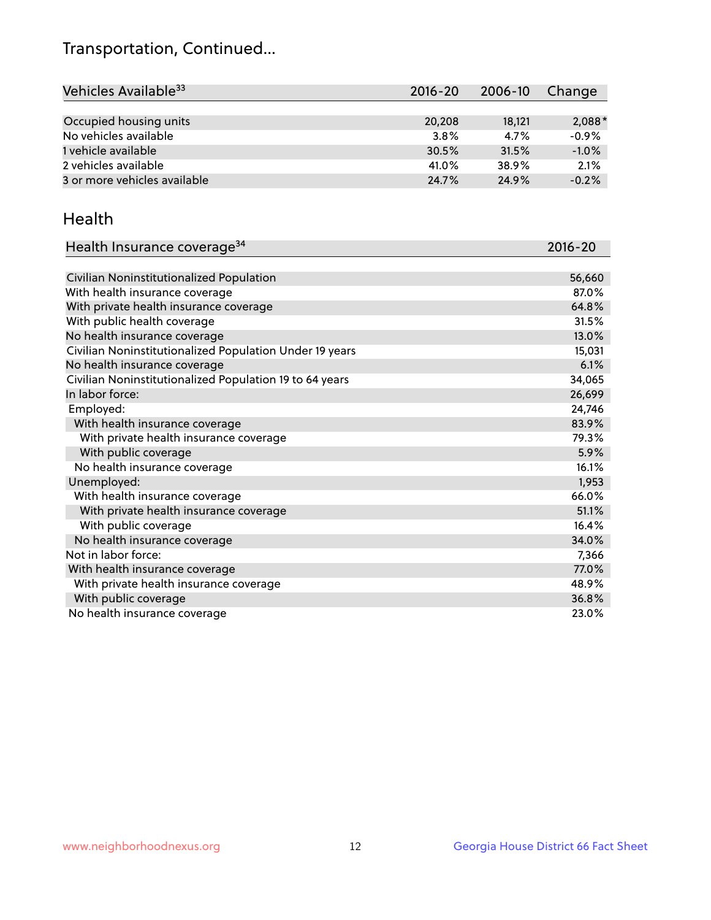## Transportation, Continued...

| Vehicles Available <sup>33</sup> | 2016-20 | 2006-10 | Change   |
|----------------------------------|---------|---------|----------|
|                                  |         |         |          |
| Occupied housing units           | 20,208  | 18,121  | $2,088*$ |
| No vehicles available            | 3.8%    | 4.7%    | $-0.9%$  |
| 1 vehicle available              | 30.5%   | 31.5%   | $-1.0%$  |
| 2 vehicles available             | 41.0%   | 38.9%   | 2.1%     |
| 3 or more vehicles available     | 24.7%   | 24.9%   | $-0.2%$  |

#### Health

| Health Insurance coverage <sup>34</sup>                 | 2016-20 |
|---------------------------------------------------------|---------|
|                                                         |         |
| Civilian Noninstitutionalized Population                | 56,660  |
| With health insurance coverage                          | 87.0%   |
| With private health insurance coverage                  | 64.8%   |
| With public health coverage                             | 31.5%   |
| No health insurance coverage                            | 13.0%   |
| Civilian Noninstitutionalized Population Under 19 years | 15,031  |
| No health insurance coverage                            | 6.1%    |
| Civilian Noninstitutionalized Population 19 to 64 years | 34,065  |
| In labor force:                                         | 26,699  |
| Employed:                                               | 24,746  |
| With health insurance coverage                          | 83.9%   |
| With private health insurance coverage                  | 79.3%   |
| With public coverage                                    | 5.9%    |
| No health insurance coverage                            | 16.1%   |
| Unemployed:                                             | 1,953   |
| With health insurance coverage                          | 66.0%   |
| With private health insurance coverage                  | 51.1%   |
| With public coverage                                    | 16.4%   |
| No health insurance coverage                            | 34.0%   |
| Not in labor force:                                     | 7,366   |
| With health insurance coverage                          | 77.0%   |
| With private health insurance coverage                  | 48.9%   |
| With public coverage                                    | 36.8%   |
| No health insurance coverage                            | 23.0%   |